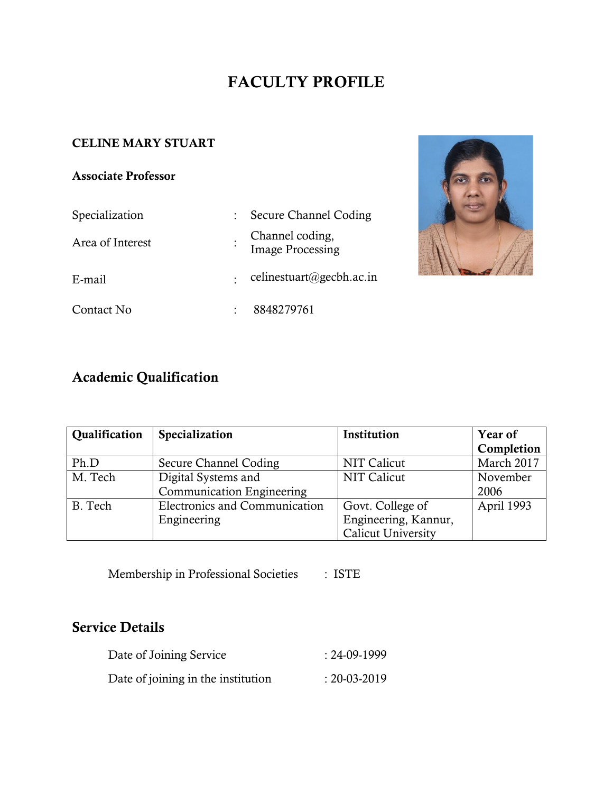# **FACULTY PROFILE**

### **CELINE MARY STUART**

#### **Associate Professor**

# Specialization : Secure Channel Coding Area of Interest : Channel coding, Image Processing E-mail : celinestuart@gecbh.ac.in Contact No : 8848279761



# **Academic Qualification**

| Qualification | Specialization                   | Institution          | <b>Year of</b> |
|---------------|----------------------------------|----------------------|----------------|
|               |                                  |                      | Completion     |
| Ph.D          | Secure Channel Coding            | NIT Calicut          | March 2017     |
| M. Tech       | Digital Systems and              | NIT Calicut          | November       |
|               | <b>Communication Engineering</b> |                      | 2006           |
| B. Tech       | Electronics and Communication    | Govt. College of     | April 1993     |
|               | Engineering                      | Engineering, Kannur, |                |
|               |                                  | Calicut University   |                |

Membership in Professional Societies : ISTE

## **Service Details**

| Date of Joining Service            | $: 24-09-1999$     |
|------------------------------------|--------------------|
| Date of joining in the institution | $: 20 - 03 - 2019$ |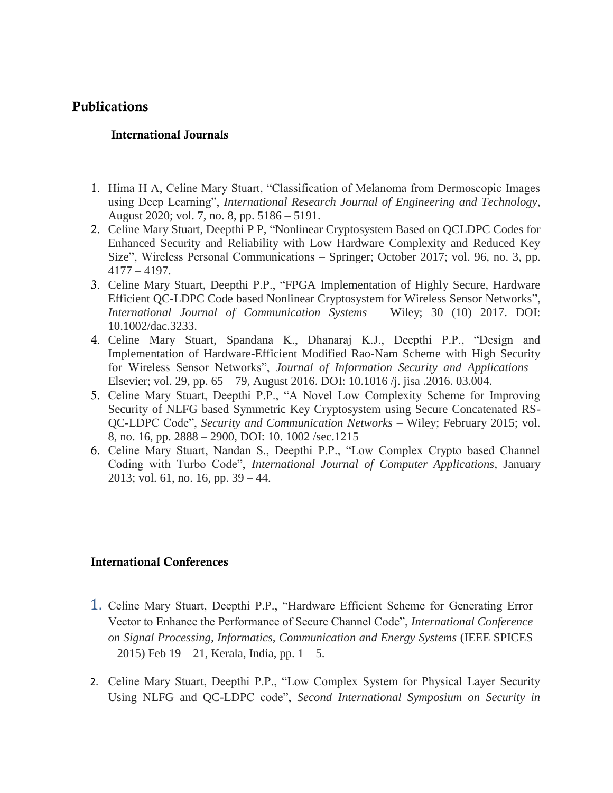### **Publications**

#### **International Journals**

- 1. Hima H A, Celine Mary Stuart, "Classification of Melanoma from Dermoscopic Images using Deep Learning", *International Research Journal of Engineering and Technology*, August 2020; vol. 7, no. 8, pp. 5186 – 5191.
- 2. Celine Mary Stuart, Deepthi P P, "Nonlinear Cryptosystem Based on QCLDPC Codes for Enhanced Security and Reliability with Low Hardware Complexity and Reduced Key Size", Wireless Personal Communications – Springer; October 2017; vol. 96, no. 3, pp. 4177 – 4197.
- 3. Celine Mary Stuart, Deepthi P.P., "FPGA Implementation of Highly Secure, Hardware Efficient QC-LDPC Code based Nonlinear Cryptosystem for Wireless Sensor Networks", *International Journal of Communication Systems* – Wiley; 30 (10) 2017. DOI: 10.1002/dac.3233.
- 4. Celine Mary Stuart, Spandana K., Dhanaraj K.J., Deepthi P.P., "Design and Implementation of Hardware-Efficient Modified Rao-Nam Scheme with High Security for Wireless Sensor Networks", *Journal of Information Security and Applications* – Elsevier; vol. 29, pp. 65 – 79, August 2016. DOI: 10.1016 /j. jisa .2016. 03.004.
- 5. Celine Mary Stuart, Deepthi P.P., "A Novel Low Complexity Scheme for Improving Security of NLFG based Symmetric Key Cryptosystem using Secure Concatenated RS-QC-LDPC Code", *Security and Communication Networks* – Wiley; February 2015; vol. 8, no. 16, pp. 2888 – 2900, DOI: 10. 1002 /sec.1215
- 6. Celine Mary Stuart, Nandan S., Deepthi P.P., "Low Complex Crypto based Channel Coding with Turbo Code", *International Journal of Computer Applications*, January 2013; vol. 61, no. 16, pp. 39 – 44.

#### **International Conferences**

- 1. Celine Mary Stuart, Deepthi P.P., "Hardware Efficient Scheme for Generating Error Vector to Enhance the Performance of Secure Channel Code", *International Conference on Signal Processing, Informatics, Communication and Energy Systems* (IEEE SPICES  $-2015$ ) Feb 19 – 21, Kerala, India, pp. 1 – 5.
- 2. Celine Mary Stuart, Deepthi P.P., "Low Complex System for Physical Layer Security Using NLFG and QC-LDPC code", *Second International Symposium on Security in*